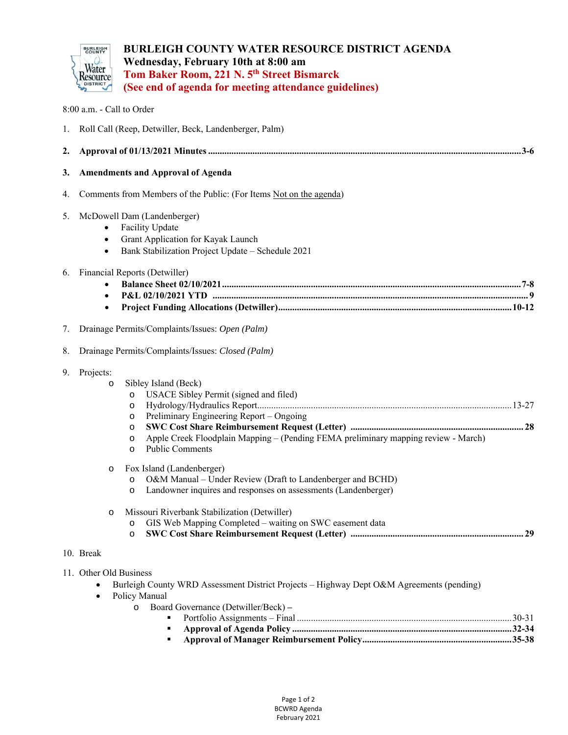

8:00 a.m. - Call to Order

# **BURLEIGH COUNTY WATER RESOURCE DISTRICT AGENDA Wednesday, February 10th at 8:00 am Tom Baker Room, 221 N. 5th Street Bismarck (See end of agenda for meeting attendance guidelines)**

| 1. | Roll Call (Reep, Detwiller, Beck, Landenberger, Palm)                                                                                                                                                                                                                                                                                   |
|----|-----------------------------------------------------------------------------------------------------------------------------------------------------------------------------------------------------------------------------------------------------------------------------------------------------------------------------------------|
| 2. |                                                                                                                                                                                                                                                                                                                                         |
| 3. | <b>Amendments and Approval of Agenda</b>                                                                                                                                                                                                                                                                                                |
| 4. | Comments from Members of the Public: (For Items Not on the agenda)                                                                                                                                                                                                                                                                      |
| 5. | McDowell Dam (Landenberger)<br>Facility Update<br>Grant Application for Kayak Launch<br>Bank Stabilization Project Update - Schedule 2021<br>$\bullet$                                                                                                                                                                                  |
| 6. | Financial Reports (Detwiller)                                                                                                                                                                                                                                                                                                           |
| 7. | Drainage Permits/Complaints/Issues: Open (Palm)                                                                                                                                                                                                                                                                                         |
| 8. | Drainage Permits/Complaints/Issues: Closed (Palm)                                                                                                                                                                                                                                                                                       |
| 9. | Projects:<br>Sibley Island (Beck)<br>$\circ$<br>USACE Sibley Permit (signed and filed)<br>$\circ$<br>O<br>Preliminary Engineering Report – Ongoing<br>$\circ$<br>$\circ$<br>Apple Creek Floodplain Mapping – (Pending FEMA preliminary mapping review - March)<br>O<br><b>Public Comments</b><br>$\circ$                                |
|    | Fox Island (Landenberger)<br>$\circ$<br>O&M Manual - Under Review (Draft to Landenberger and BCHD)<br>$\circ$<br>Landowner inquires and responses on assessments (Landenberger)<br>$\circ$<br>Missouri Riverbank Stabilization (Detwiller)<br>$\circ$<br>GIS Web Mapping Completed - waiting on SWC easement data<br>$\circ$<br>$\circ$ |
|    | 10. Break                                                                                                                                                                                                                                                                                                                               |
|    | 11. Other Old Business                                                                                                                                                                                                                                                                                                                  |

- Burleigh County WRD Assessment District Projects Highway Dept O&M Agreements (pending)
- Policy Manual

| o Board Governance (Detwiller/Beck) – |  |
|---------------------------------------|--|
|                                       |  |
|                                       |  |
|                                       |  |